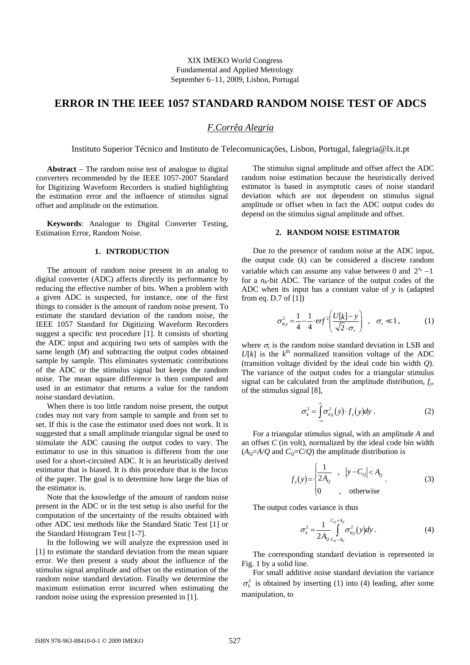XIX IMEKO World Congress Fundamental and Applied Metrology September 6−11, 2009, Lisbon, Portugal

# **ERROR IN THE IEEE 1057 STANDARD RANDOM NOISE TEST OF ADCS**

# *F.Corrêa Alegria*

Instituto Superior Técnico and Instituto de Telecomunicações, Lisbon, Portugal, falegria@lx.it.pt

**Abstract** − The random noise test of analogue to digital converters recommended by the IEEE 1057-2007 Standard for Digitizing Waveform Recorders is studied highlighting the estimation error and the influence of stimulus signal offset and amplitude on the estimation.

**Keywords**: Analogue to Digital Converter Testing, Estimation Error, Random Noise.

# **1. INTRODUCTION**

The amount of random noise present in an analog to digital converter (ADC) affects directly its performance by reducing the effective number of bits. When a problem with a given ADC is suspected, for instance, one of the first things to consider is the amount of random noise present. To estimate the standard deviation of the random noise, the IEEE 1057 Standard for Digitizing Waveform Recorders suggest a specific test procedure [1]. It consists of shorting the ADC input and acquiring two sets of samples with the same length (*M*) and subtracting the output codes obtained sample by sample. This eliminates systematic contributions of the ADC or the stimulus signal but keeps the random noise. The mean square difference is then computed and used in an estimator that returns a value for the random noise standard deviation.

When there is too little random noise present, the output codes may not vary from sample to sample and from set to set. If this is the case the estimator used does not work. It is suggested that a small amplitude triangular signal be used to stimulate the ADC causing the output codes to vary. The estimator to use in this situation is different from the one used for a short-circuited ADC. It is an heuristically derived estimator that is biased. It is this procedure that is the focus of the paper. The goal is to determine how large the bias of the estimator is.

Note that the knowledge of the amount of random noise present in the ADC or in the test setup is also useful for the computation of the uncertainty of the results obtained with other ADC test methods like the Standard Static Test [1] or the Standard Histogram Test [1-7].

In the following we will analyze the expression used in [1] to estimate the standard deviation from the mean square error. We then present a study about the influence of the stimulus signal amplitude and offset on the estimation of the random noise standard deviation. Finally we determine the maximum estimation error incurred when estimating the random noise using the expression presented in [1].

The stimulus signal amplitude and offset affect the ADC random noise estimation because the heuristically derived estimator is based in asymptotic cases of noise standard deviation which are not dependent on stimulus signal amplitude or offset when in fact the ADC output codes do depend on the stimulus signal amplitude and offset.

# **2. RANDOM NOISE ESTIMATOR**

Due to the presence of random noise at the ADC input, the output code (*k*) can be considered a discrete random variable which can assume any value between 0 and  $2^{n_b} - 1$ for a  $n_b$ -bit ADC. The variance of the output codes of the ADC when its input has a constant value of *y* is (adapted from eq. D.7 of [1])

$$
\sigma_{k|y}^2 = \frac{1}{4} - \frac{1}{4} \cdot erf^2 \left( \frac{U[k]-y}{\sqrt{2} \cdot \sigma_r} \right) , \quad \sigma_r \ll 1,
$$
 (1)

where  $\sigma_r$  is the random noise standard deviation in LSB and  $U[k]$  is the  $k^{\text{th}}$  normalized transition voltage of the ADC (transition voltage divided by the ideal code bin width *Q*). The variance of the output codes for a triangular stimulus signal can be calculated from the amplitude distribution,  $f_y$ , of the stimulus signal [8],

$$
\sigma_k^2 = \int_{-\infty}^{\infty} \sigma_{k|y}^2(y) \cdot f_y(y) dy . \qquad (2)
$$

For a triangular stimulus signal, with an amplitude *A* and an offset *C* (in volt), normalized by the ideal code bin width  $(A<sub>Q</sub>=A/Q$  and  $C<sub>Q</sub>=C/Q$  the amplitude distribution is

$$
f_{y}(y) = \begin{cases} \frac{1}{2A_{Q}} & , |y - C_{Q}| < A_{Q} \\ 0 & , \text{ otherwise} \end{cases}
$$
 (3)

The output codes variance is thus

$$
\sigma_k^2 = \frac{1}{2A_Q} \int_{C_Q - A_Q}^{C_Q + A_Q} \sigma_{k|y}^2(y) dy.
$$
 (4)

The corresponding standard deviation is represented in Fig. 1 by a solid line.

For small additive noise standard deviation the variance  $\sigma_k^2$  is obtained by inserting (1) into (4) leading, after some manipulation, to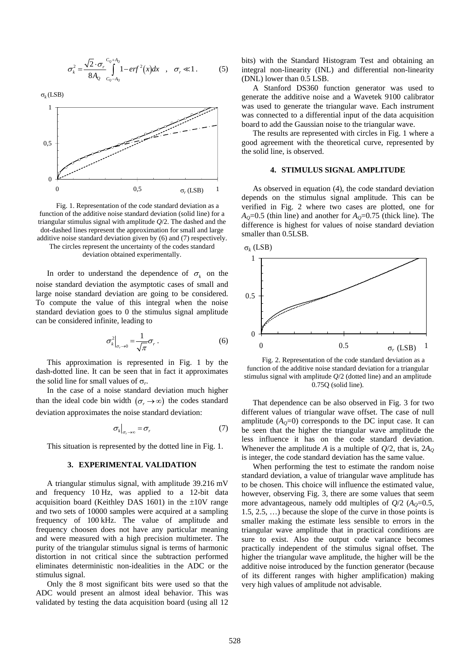$$
\sigma_k^2 = \frac{\sqrt{2} \cdot \sigma_r^{\ \ c_0 + A_0}}{8A_0^{\ \ c_0 - A_0}} 1 - erf^2(x) dx \quad , \quad \sigma_r \ll 1 \,. \tag{5}
$$

σ*k* (LSB)



Fig. 1. Representation of the code standard deviation as a function of the additive noise standard deviation (solid line) for a triangular stimulus signal with amplitude *Q*/2. The dashed and the dot-dashed lines represent the approximation for small and large additive noise standard deviation given by (6) and (7) respectively. The circles represent the uncertainty of the codes standard

deviation obtained experimentally.

In order to understand the dependence of  $\sigma_k$  on the noise standard deviation the asymptotic cases of small and large noise standard deviation are going to be considered. To compute the value of this integral when the noise standard deviation goes to 0 the stimulus signal amplitude can be considered infinite, leading to

$$
\sigma_k^2\Big|_{\sigma_r \to 0} = \frac{1}{\sqrt{\pi}} \sigma_r \,. \tag{6}
$$

This approximation is represented in Fig. 1 by the dash-dotted line. It can be seen that in fact it approximates the solid line for small values of σ*r*.

In the case of a noise standard deviation much higher than the ideal code bin width  $(\sigma_r \to \infty)$  the codes standard deviation approximates the noise standard deviation:

$$
\sigma_k\big|_{\sigma_r \to \infty} = \sigma_r \tag{7}
$$

This situation is represented by the dotted line in Fig. 1.

#### **3. EXPERIMENTAL VALIDATION**

A triangular stimulus signal, with amplitude 39.216 mV and frequency 10 Hz, was applied to a 12-bit data acquisition board (Keithley DAS 1601) in the  $\pm 10V$  range and two sets of 10000 samples were acquired at a sampling frequency of 100 kHz. The value of amplitude and frequency choosen does not have any particular meaning and were measured with a high precision multimeter. The purity of the triangular stimulus signal is terms of harmonic distortion in not critical since the subtraction performed eliminates deterministic non-idealities in the ADC or the stimulus signal.

Only the 8 most significant bits were used so that the ADC would present an almost ideal behavior. This was validated by testing the data acquisition board (using all 12 bits) with the Standard Histogram Test and obtaining an integral non-linearity (INL) and differential non-linearity (DNL) lower than 0.5 LSB.

A Stanford DS360 function generator was used to generate the additive noise and a Wavetek 9100 calibrator was used to generate the triangular wave. Each instrument was connected to a differential input of the data acquisition board to add the Gaussian noise to the triangular wave.

The results are represented with circles in Fig. 1 where a good agreement with the theoretical curve, represented by the solid line, is observed.

### **4. STIMULUS SIGNAL AMPLITUDE**

As observed in equation (4), the code standard deviation depends on the stimulus signal amplitude. This can be verified in Fig. 2 where two cases are plotted, one for  $A<sub>Q</sub>=0.5$  (thin line) and another for  $A<sub>Q</sub>=0.75$  (thick line). The difference is highest for values of noise standard deviation smaller than 0.5LSB.



Fig. 2. Representation of the code standard deviation as a function of the additive noise standard deviation for a triangular stimulus signal with amplitude *Q*/2 (dotted line) and an amplitude 0.75Q (solid line).

That dependence can be also observed in Fig. 3 for two different values of triangular wave offset. The case of null amplitude  $(A<sub>0</sub>=0)$  corresponds to the DC input case. It can be seen that the higher the triangular wave amplitude the less influence it has on the code standard deviation. Whenever the amplitude *A* is a multiple of  $Q/2$ , that is,  $2A<sub>O</sub>$ is integer, the code standard deviation has the same value.

When performing the test to estimate the random noise standard deviation, a value of triangular wave amplitude has to be chosen. This choice will influence the estimated value, however, observing Fig. 3, there are some values that seem more advantageous, namely odd multiples of  $Q/2$  ( $A<sub>Q</sub>=0.5$ , 1.5, 2.5, …) because the slope of the curve in those points is smaller making the estimate less sensible to errors in the triangular wave amplitude that in practical conditions are sure to exist. Also the output code variance becomes practically independent of the stimulus signal offset. The higher the triangular wave amplitude, the higher will be the additive noise introduced by the function generator (because of its different ranges with higher amplification) making very high values of amplitude not advisable.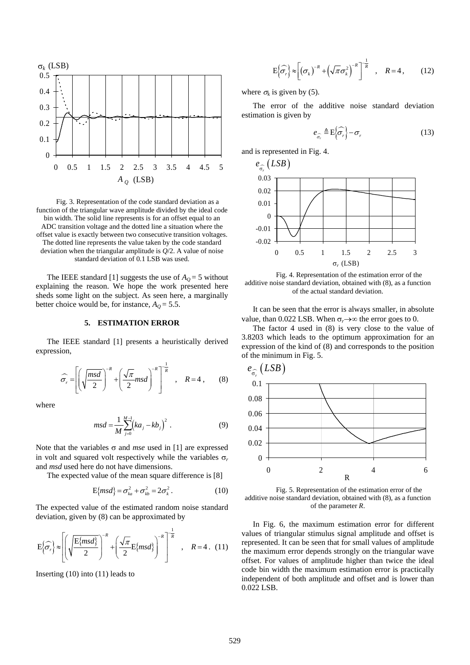

Fig. 3. Representation of the code standard deviation as a function of the triangular wave amplitude divided by the ideal code bin width. The solid line represents is for an offset equal to an ADC transition voltage and the dotted line a situation where the offset value is exactly between two consecutive transition voltages. The dotted line represents the value taken by the code standard deviation when the triangular amplitude is *Q*/2. A value of noise standard deviation of 0.1 LSB was used.

The IEEE standard [1] suggests the use of  $A<sub>O</sub> = 5$  without explaining the reason. We hope the work presented here sheds some light on the subject. As seen here, a marginally better choice would be, for instance,  $A_Q = 5.5$ .

# **5. ESTIMATION ERROR**

The IEEE standard [1] presents a heuristically derived expression,

$$
\widehat{\sigma_r} = \left[ \left( \sqrt{\frac{msd}{2}} \right)^{-R} + \left( \frac{\sqrt{\pi}}{2} msd \right)^{-R} \right]^{-\frac{1}{R}}, \quad R = 4 , \qquad (8)
$$

where

$$
msd = \frac{1}{M} \sum_{j=0}^{M-1} (ka_j - kb_j)^2
$$
 (9)

Note that the variables σ and *mse* used in [1] are expressed in volt and squared volt respectively while the variables  $\sigma_r$ and *msd* used here do not have dimensions.

The expected value of the mean square difference is [8]

$$
E\{msd\} = \sigma_{ka}^2 + \sigma_{kb}^2 = 2\sigma_k^2.
$$
 (10)

The expected value of the estimated random noise standard deviation, given by (8) can be approximated by

$$
E\left\{\widehat{\sigma_r}\right\} \approx \left[ \left( \sqrt{\frac{E\{msd\}}{2}} \right)^{-R} + \left( \frac{\sqrt{\pi}}{2} E\{msd\} \right)^{-R} \right]^{\frac{1}{R}}, \quad R = 4. \quad (11)
$$

Inserting (10) into (11) leads to

$$
E\left\{\widehat{\sigma_r}\right\} \approx \left[\left(\sigma_k\right)^{-R} + \left(\sqrt{\pi}\sigma_k^2\right)^{-R}\right]^{-\frac{1}{R}}, \quad R = 4, \quad (12)
$$

where  $\sigma_k$  is given by (5).

The error of the additive noise standard deviation estimation is given by

$$
e_{\widehat{\sigma}_r} \triangleq \mathcal{E}\left\{\widehat{\sigma}_r\right\} - \sigma_r \tag{13}
$$

and is represented in Fig. 4.



 Fig. 4. Representation of the estimation error of the additive noise standard deviation, obtained with (8), as a function of the actual standard deviation.

It can be seen that the error is always smaller, in absolute value, than 0.022 LSB. When  $\sigma_r \rightarrow \infty$  the error goes to 0.

The factor 4 used in (8) is very close to the value of 3.8203 which leads to the optimum approximation for an expression of the kind of (8) and corresponds to the position of the minimum in Fig. 5.



 Fig. 5. Representation of the estimation error of the additive noise standard deviation, obtained with (8), as a function of the parameter *R*.

In Fig. 6, the maximum estimation error for different values of triangular stimulus signal amplitude and offset is represented. It can be seen that for small values of amplitude the maximum error depends strongly on the triangular wave offset. For values of amplitude higher than twice the ideal code bin width the maximum estimation error is practically independent of both amplitude and offset and is lower than 0.022 LSB.